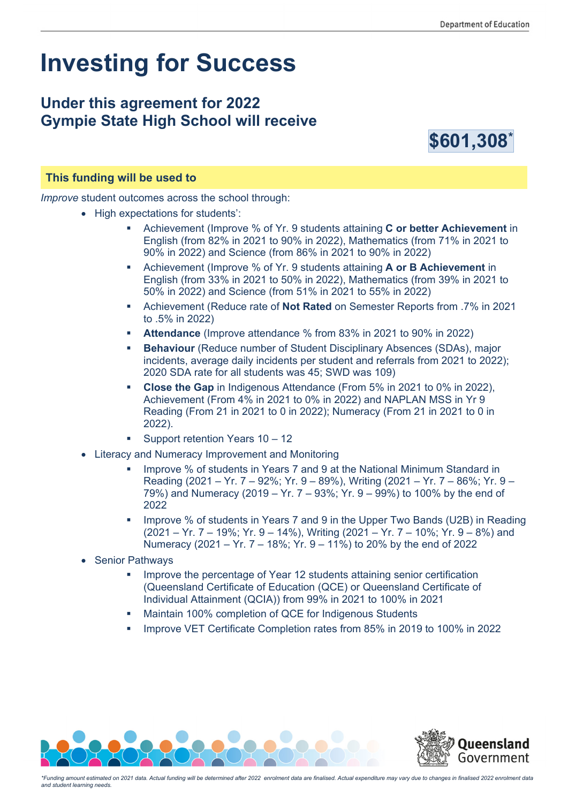# **Investing for Success**

## **Under this agreement for 2022 Gympie State High School will receive**



#### **This funding will be used to**

*Improve* student outcomes across the school through:

- High expectations for students':
	- Achievement (Improve % of Yr. 9 students attaining **C or better Achievement** in English (from 82% in 2021 to 90% in 2022), Mathematics (from 71% in 2021 to 90% in 2022) and Science (from 86% in 2021 to 90% in 2022)
	- Achievement (Improve % of Yr. 9 students attaining **A or B Achievement** in English (from 33% in 2021 to 50% in 2022), Mathematics (from 39% in 2021 to 50% in 2022) and Science (from 51% in 2021 to 55% in 2022)
	- Achievement (Reduce rate of **Not Rated** on Semester Reports from .7% in 2021 to .5% in 2022)
	- **Attendance** (Improve attendance % from 83% in 2021 to 90% in 2022)
	- **Behaviour** (Reduce number of Student Disciplinary Absences (SDAs), major incidents, average daily incidents per student and referrals from 2021 to 2022); 2020 SDA rate for all students was 45; SWD was 109)
	- **Close the Gap** in Indigenous Attendance (From 5% in 2021 to 0% in 2022), Achievement (From 4% in 2021 to 0% in 2022) and NAPLAN MSS in Yr 9 Reading (From 21 in 2021 to 0 in 2022); Numeracy (From 21 in 2021 to 0 in 2022).
	- Support retention Years 10 12
- Literacy and Numeracy Improvement and Monitoring
	- Improve % of students in Years 7 and 9 at the National Minimum Standard in Reading (2021 – Yr. 7 – 92%; Yr. 9 – 89%), Writing (2021 – Yr. 7 – 86%; Yr. 9 – 79%) and Numeracy (2019 – Yr. 7 – 93%; Yr. 9 – 99%) to 100% by the end of 2022
	- **IMPROVE % of students in Years 7 and 9 in the Upper Two Bands (U2B) in Reading** (2021 – Yr. 7 – 19%; Yr. 9 – 14%), Writing (2021 – Yr. 7 – 10%; Yr. 9 – 8%) and Numeracy (2021 – Yr. 7 – 18%; Yr. 9 – 11%) to 20% by the end of 2022
- Senior Pathways
	- Improve the percentage of Year 12 students attaining senior certification (Queensland Certificate of Education (QCE) or Queensland Certificate of Individual Attainment (QCIA)) from 99% in 2021 to 100% in 2021
	- Maintain 100% completion of QCE for Indigenous Students
	- Improve VET Certificate Completion rates from 85% in 2019 to 100% in 2022



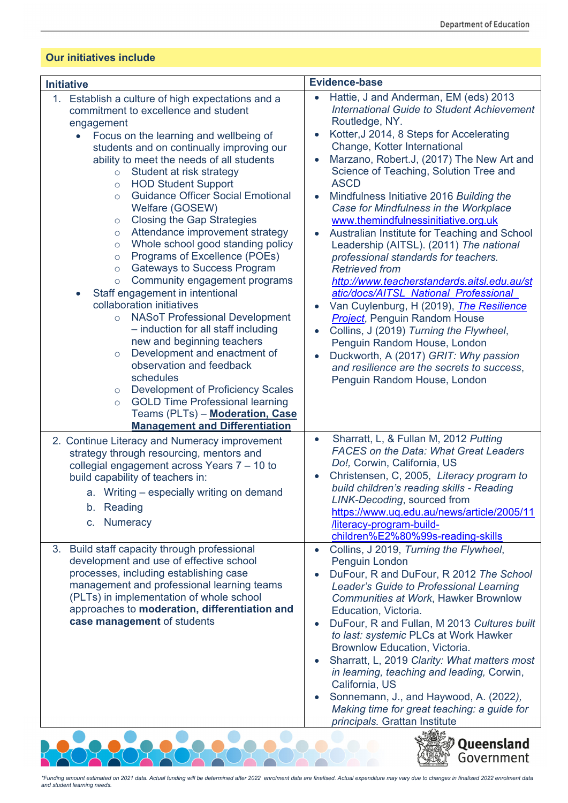#### **Our initiatives include**

| <b>Initiative</b>                                                                                                                                                                                                                                                                                                                                                                                                                                                                                                                                                                                                                                                                                                                                                                                                                                                                                                                                                                                                                                                                                                                                                                           | <b>Evidence-base</b>                                                                                                                                                                                                                                                                                                                                                                                                                                                                                                                                                                                                                                                                                                                                                                                                                                                                                                                                                         |
|---------------------------------------------------------------------------------------------------------------------------------------------------------------------------------------------------------------------------------------------------------------------------------------------------------------------------------------------------------------------------------------------------------------------------------------------------------------------------------------------------------------------------------------------------------------------------------------------------------------------------------------------------------------------------------------------------------------------------------------------------------------------------------------------------------------------------------------------------------------------------------------------------------------------------------------------------------------------------------------------------------------------------------------------------------------------------------------------------------------------------------------------------------------------------------------------|------------------------------------------------------------------------------------------------------------------------------------------------------------------------------------------------------------------------------------------------------------------------------------------------------------------------------------------------------------------------------------------------------------------------------------------------------------------------------------------------------------------------------------------------------------------------------------------------------------------------------------------------------------------------------------------------------------------------------------------------------------------------------------------------------------------------------------------------------------------------------------------------------------------------------------------------------------------------------|
| 1. Establish a culture of high expectations and a<br>commitment to excellence and student<br>engagement<br>Focus on the learning and wellbeing of<br>$\bullet$<br>students and on continually improving our<br>ability to meet the needs of all students<br>Student at risk strategy<br>$\circ$<br><b>HOD Student Support</b><br>$\circ$<br><b>Guidance Officer Social Emotional</b><br>$\circ$<br>Welfare (GOSEW)<br><b>Closing the Gap Strategies</b><br>$\circ$<br>Attendance improvement strategy<br>$\circ$<br>Whole school good standing policy<br>$\circ$<br>Programs of Excellence (POEs)<br>$\circ$<br><b>Gateways to Success Program</b><br>$\circ$<br>Community engagement programs<br>$\circ$<br>Staff engagement in intentional<br>$\bullet$<br>collaboration initiatives<br><b>NASoT Professional Development</b><br>$\circ$<br>- induction for all staff including<br>new and beginning teachers<br>Development and enactment of<br>$\circ$<br>observation and feedback<br>schedules<br><b>Development of Proficiency Scales</b><br>$\circ$<br><b>GOLD Time Professional learning</b><br>$\circ$<br>Teams (PLTs) - Moderation, Case<br><b>Management and Differentiation</b> | Hattie, J and Anderman, EM (eds) 2013<br><b>International Guide to Student Achievement</b><br>Routledge, NY.<br>Kotter, J 2014, 8 Steps for Accelerating<br>Change, Kotter International<br>Marzano, Robert.J, (2017) The New Art and<br>Science of Teaching, Solution Tree and<br><b>ASCD</b><br>Mindfulness Initiative 2016 Building the<br>Case for Mindfulness in the Workplace<br>www.themindfulnessinitiative.org.uk<br>Australian Institute for Teaching and School<br>Leadership (AITSL). (2011) The national<br>professional standards for teachers.<br><b>Retrieved from</b><br>http://www.teacherstandards.aitsl.edu.au/st<br>atic/docs/AITSL National Professional<br>Van Cuylenburg, H (2019), <i>The Resilience</i><br><b>Project</b> , Penguin Random House<br>Collins, J (2019) Turning the Flywheel,<br>Penguin Random House, London<br>Duckworth, A (2017) GRIT: Why passion<br>and resilience are the secrets to success,<br>Penguin Random House, London |
| 2. Continue Literacy and Numeracy improvement<br>strategy through resourcing, mentors and<br>collegial engagement across Years 7 - 10 to<br>build capability of teachers in:<br>a. Writing - especially writing on demand<br>b. Reading<br><b>Numeracy</b><br>$C_{1}$                                                                                                                                                                                                                                                                                                                                                                                                                                                                                                                                                                                                                                                                                                                                                                                                                                                                                                                       | Sharratt, L, & Fullan M, 2012 Putting<br>$\bullet$<br><b>FACES</b> on the Data: What Great Leaders<br>Do!, Corwin, California, US<br>Christensen, C, 2005, Literacy program to<br>build children's reading skills - Reading<br>LINK-Decoding, sourced from<br>https://www.uq.edu.au/news/article/2005/11<br>/literacy-program-build-<br>children%E2%80%99s-reading-skills                                                                                                                                                                                                                                                                                                                                                                                                                                                                                                                                                                                                    |
| 3. Build staff capacity through professional<br>development and use of effective school<br>processes, including establishing case<br>management and professional learning teams<br>(PLTs) in implementation of whole school<br>approaches to moderation, differentiation and<br>case management of students                                                                                                                                                                                                                                                                                                                                                                                                                                                                                                                                                                                                                                                                                                                                                                                                                                                                                 | Collins, J 2019, Turning the Flywheel,<br>Penguin London<br>DuFour, R and DuFour, R 2012 The School<br>Leader's Guide to Professional Learning<br>Communities at Work, Hawker Brownlow<br>Education, Victoria.<br>DuFour, R and Fullan, M 2013 Cultures built<br>to last: systemic PLCs at Work Hawker<br>Brownlow Education, Victoria.<br>Sharratt, L, 2019 Clarity: What matters most<br>in learning, teaching and leading, Corwin,<br>California, US<br>Sonnemann, J., and Haywood, A. (2022),<br>Making time for great teaching: a guide for<br>principals. Grattan Institute                                                                                                                                                                                                                                                                                                                                                                                            |
|                                                                                                                                                                                                                                                                                                                                                                                                                                                                                                                                                                                                                                                                                                                                                                                                                                                                                                                                                                                                                                                                                                                                                                                             | Queensland<br>Government                                                                                                                                                                                                                                                                                                                                                                                                                                                                                                                                                                                                                                                                                                                                                                                                                                                                                                                                                     |

Ā